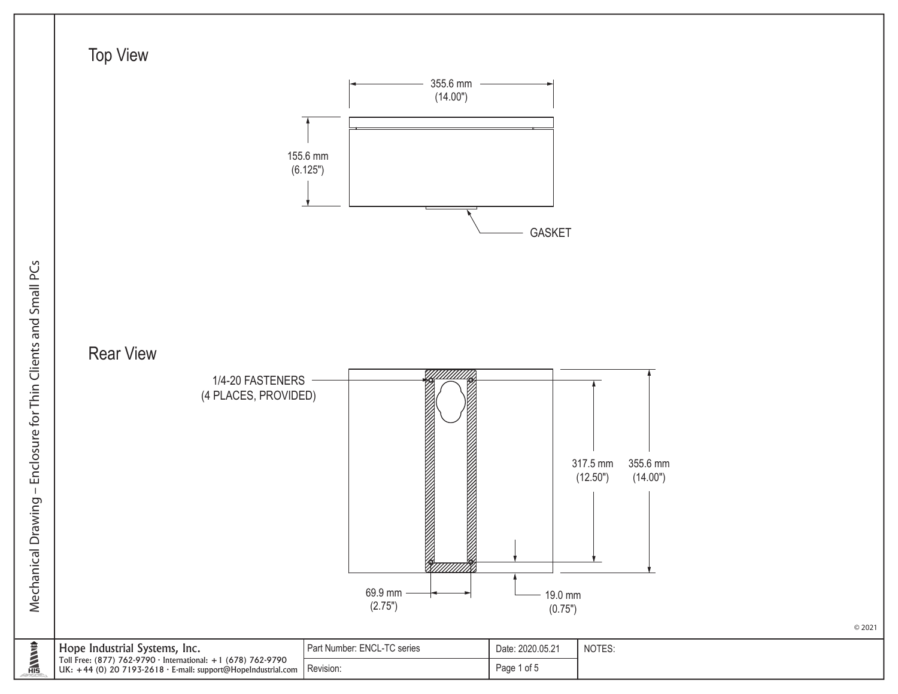

© 2021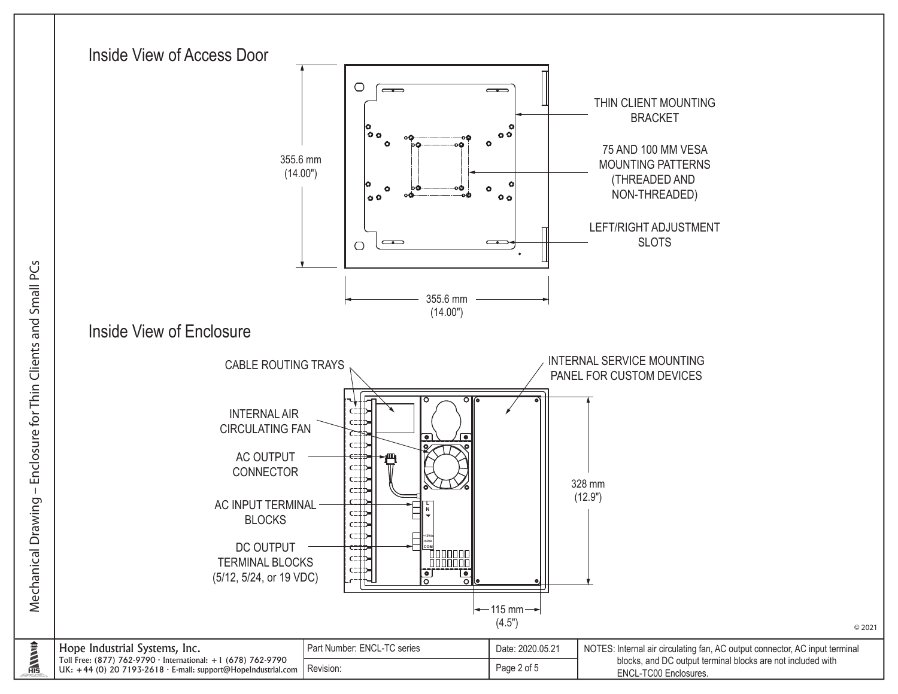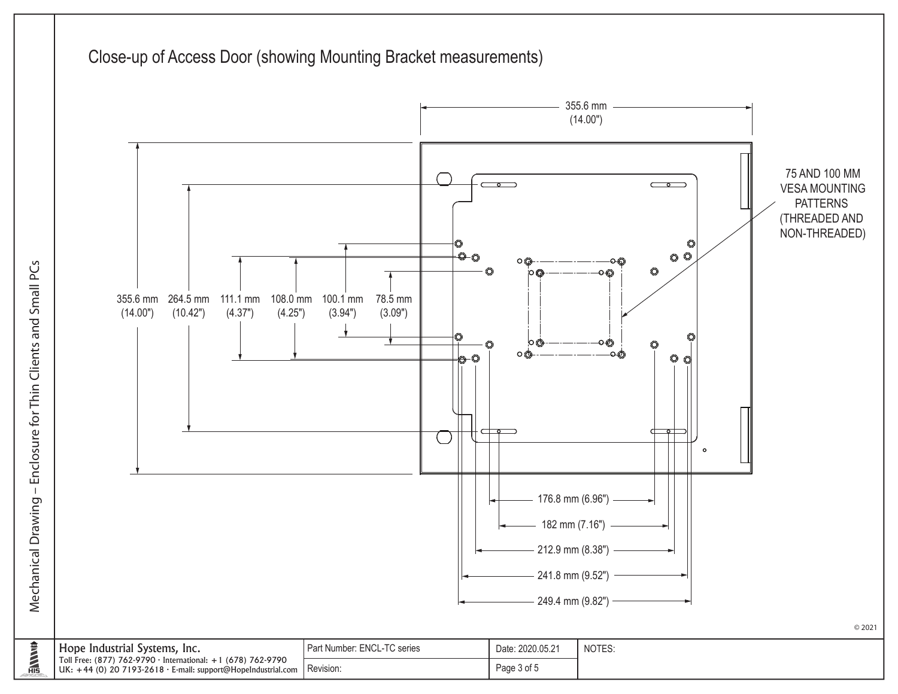

Mechanical Drawing - Enclosure for Thin Clients and Small PCs Mechanical Drawing – Enclosure for Thin Clients and Small PCs

**ENVIRE**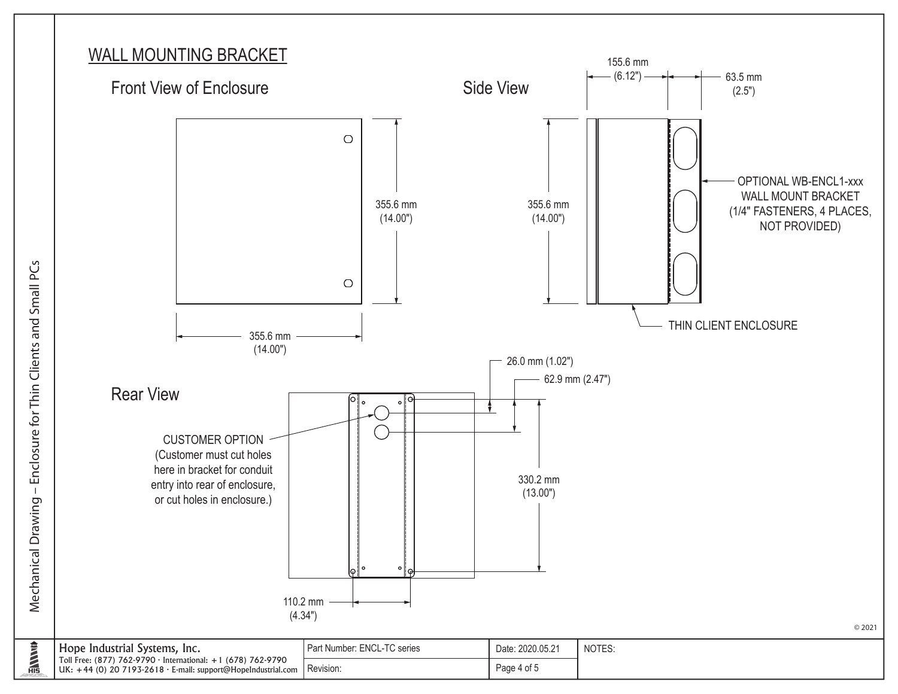## WALL MOUNTING BRACKET